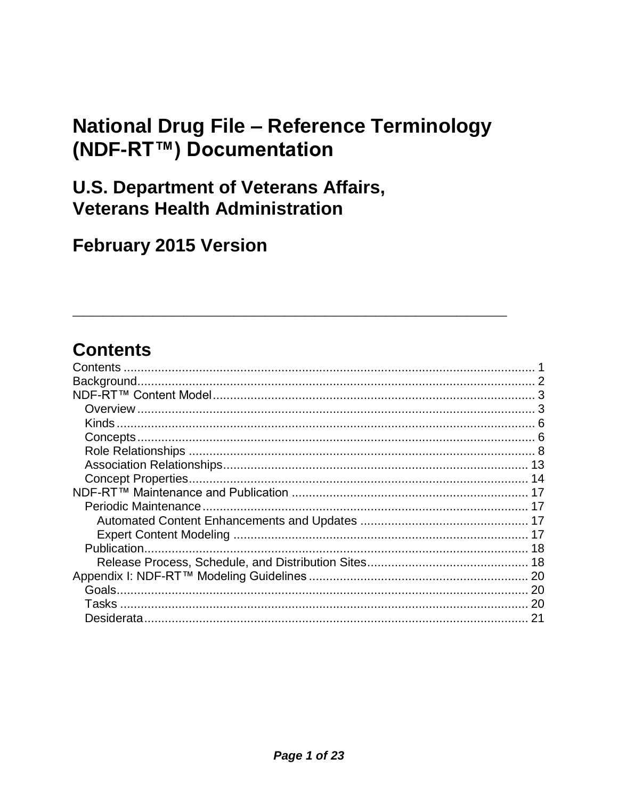# **National Drug File - Reference Terminology** (NDF-RT™) Documentation

# **U.S. Department of Veterans Affairs, Veterans Health Administration**

# **February 2015 Version**

# <span id="page-0-0"></span>**Contents**

| 20 |
|----|
| 20 |
|    |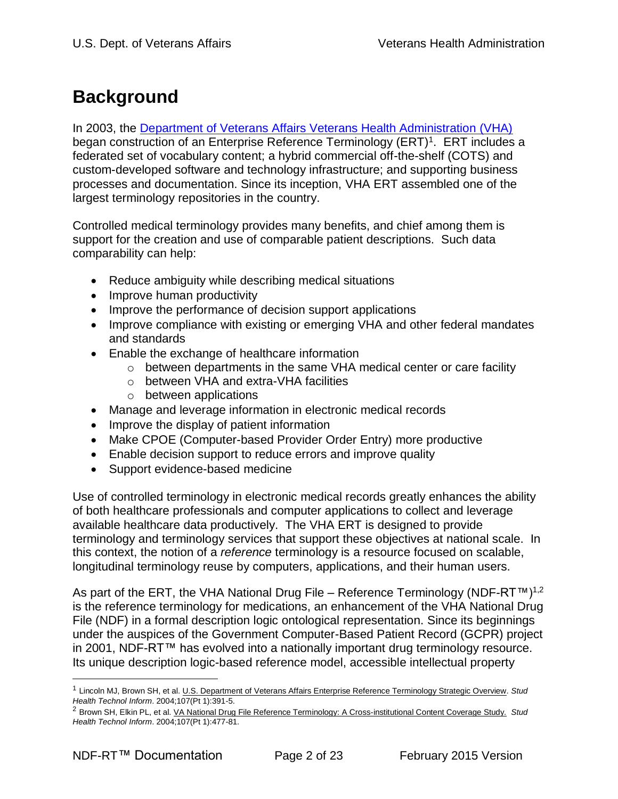# <span id="page-1-0"></span>**Background**

In 2003, the [Department of Veterans Affairs Veterans Health Administration \(VHA\)](http://www1.va.gov/HEALTH/) began construction of an Enterprise Reference Terminology (ERT)<sup>1</sup>. ERT includes a federated set of vocabulary content; a hybrid commercial off-the-shelf (COTS) and custom-developed software and technology infrastructure; and supporting business processes and documentation. Since its inception, VHA ERT assembled one of the largest terminology repositories in the country.

Controlled medical terminology provides many benefits, and chief among them is support for the creation and use of comparable patient descriptions. Such data comparability can help:

- Reduce ambiguity while describing medical situations
- Improve human productivity
- Improve the performance of decision support applications
- Improve compliance with existing or emerging VHA and other federal mandates and standards
- Enable the exchange of healthcare information
	- o between departments in the same VHA medical center or care facility
	- o between VHA and extra-VHA facilities
	- o between applications
- Manage and leverage information in electronic medical records
- Improve the display of patient information
- Make CPOE (Computer-based Provider Order Entry) more productive
- Enable decision support to reduce errors and improve quality
- Support evidence-based medicine

Use of controlled terminology in electronic medical records greatly enhances the ability of both healthcare professionals and computer applications to collect and leverage available healthcare data productively. The VHA ERT is designed to provide terminology and terminology services that support these objectives at national scale. In this context, the notion of a *reference* terminology is a resource focused on scalable, longitudinal terminology reuse by computers, applications, and their human users.

As part of the ERT, the VHA National Drug File – Reference Terminology (NDF-RT™)1,2 is the reference terminology for medications, an enhancement of the VHA National Drug File (NDF) in a formal description logic ontological representation. Since its beginnings under the auspices of the Government Computer-Based Patient Record (GCPR) project in 2001, NDF-RT™ has evolved into a nationally important drug terminology resource. Its unique description logic-based reference model, accessible intellectual property

 $\overline{a}$ 

<sup>1</sup> Lincoln MJ, Brown SH, et al. U.S. Department of Veterans Affairs Enterprise Reference Terminology Strategic Overview. *Stud Health Technol Inform*. 2004;107(Pt 1):391-5.

<sup>2</sup> Brown SH, Elkin PL, et al. VA National Drug File Reference Terminology: A Cross-institutional Content Coverage Study. *Stud Health Technol Inform*. 2004;107(Pt 1):477-81.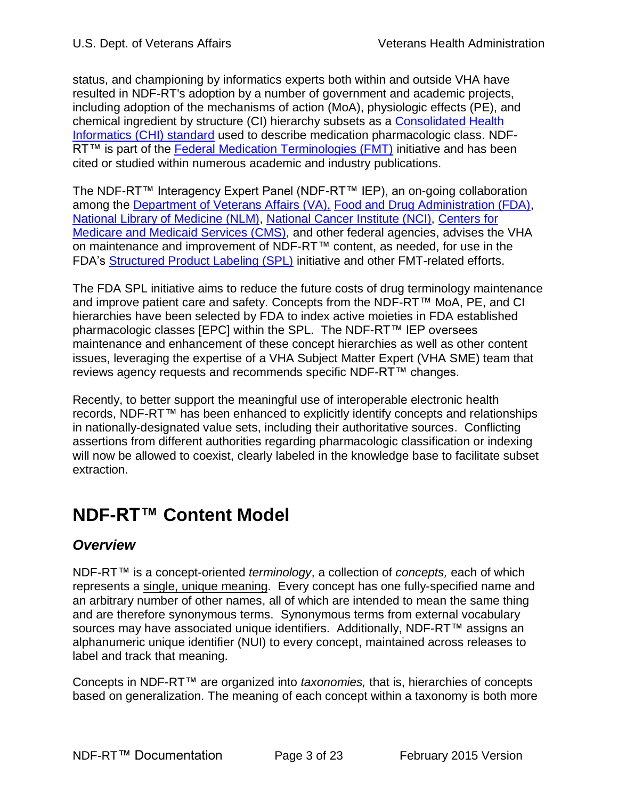status, and championing by informatics experts both within and outside VHA have resulted in NDF-RT's adoption by a number of government and academic projects, including adoption of the mechanisms of action (MoA), physiologic effects (PE), and chemical ingredient by structure (CI) hierarchy subsets as a [Consolidated Health](http://healthit.hhs.gov/portal/server.pt?open=512&objID=1195&&PageID=15503&mode=2&in_hi_userid=10741&cached=true)  [Informatics \(CHI\) standard](http://healthit.hhs.gov/portal/server.pt?open=512&objID=1195&&PageID=15503&mode=2&in_hi_userid=10741&cached=true) used to describe medication pharmacologic class. NDF-RT™ is part of the [Federal Medication Terminologies \(FMT\)](http://www.cancer.gov/cancertopics/terminologyresources/page4) initiative and has been cited or studied within numerous academic and industry publications.

The NDF-RT™ Interagency Expert Panel (NDF-RT™ IEP), an on-going collaboration among the [Department of Veterans Affairs \(VA\),](http://www.va.gov/) [Food and Drug Administration \(FDA\),](http://www.fda.gov/) [National Library of Medicine \(NLM\),](http://www.nlm.nih.gov/) [National Cancer Institute \(NCI\),](http://www.cancer.gov/) [Centers for](http://www.cms.hhs.gov/)  [Medicare and Medicaid Services \(CMS\),](http://www.cms.hhs.gov/) and other federal agencies, advises the VHA on maintenance and improvement of NDF-RT™ content, as needed, for use in the FDA's [Structured Product Labeling \(SPL\)](http://www.fda.gov/oc/datacouncil/SPL.html) initiative and other FMT-related efforts.

The FDA SPL initiative aims to reduce the future costs of drug terminology maintenance and improve patient care and safety. Concepts from the NDF-RT™ MoA, PE, and CI hierarchies have been selected by FDA to index active moieties in FDA established pharmacologic classes [EPC] within the SPL. The NDF-RT™ IEP oversees maintenance and enhancement of these concept hierarchies as well as other content issues, leveraging the expertise of a VHA Subject Matter Expert (VHA SME) team that reviews agency requests and recommends specific NDF-RT™ changes.

Recently, to better support the meaningful use of interoperable electronic health records, NDF-RT™ has been enhanced to explicitly identify concepts and relationships in nationally-designated value sets, including their authoritative sources. Conflicting assertions from different authorities regarding pharmacologic classification or indexing will now be allowed to coexist, clearly labeled in the knowledge base to facilitate subset extraction.

# <span id="page-2-0"></span>**NDF-RT™ Content Model**

# <span id="page-2-1"></span>*Overview*

NDF-RT™ is a concept-oriented *terminology*, a collection of *concepts,* each of which represents a single, unique meaning. Every concept has one fully-specified name and an arbitrary number of other names, all of which are intended to mean the same thing and are therefore synonymous terms. Synonymous terms from external vocabulary sources may have associated unique identifiers. Additionally, NDF-RT<sup>™</sup> assigns an alphanumeric unique identifier (NUI) to every concept, maintained across releases to label and track that meaning.

Concepts in NDF-RT™ are organized into *taxonomies,* that is, hierarchies of concepts based on generalization. The meaning of each concept within a taxonomy is both more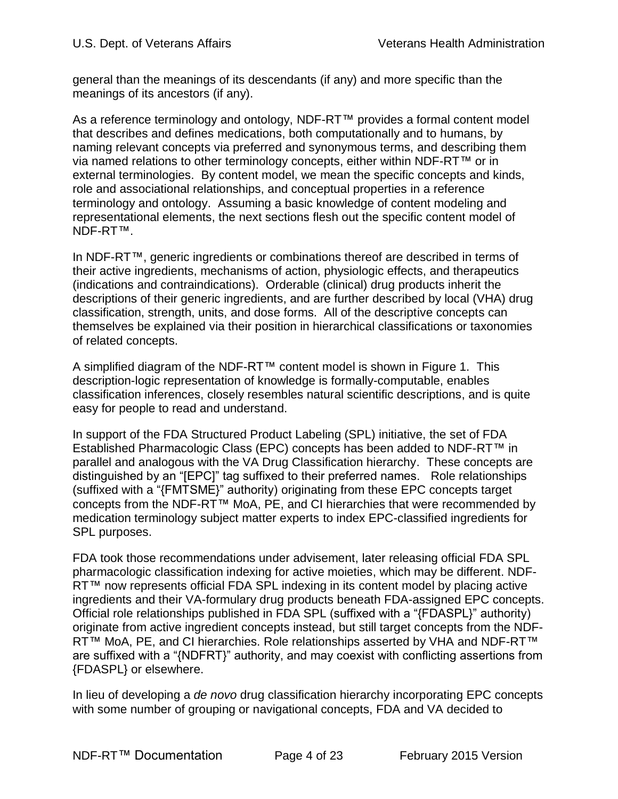general than the meanings of its descendants (if any) and more specific than the meanings of its ancestors (if any).

As a reference terminology and ontology, NDF-RT™ provides a formal content model that describes and defines medications, both computationally and to humans, by naming relevant concepts via preferred and synonymous terms, and describing them via named relations to other terminology concepts, either within NDF-RT™ or in external terminologies. By content model, we mean the specific concepts and kinds, role and associational relationships, and conceptual properties in a reference terminology and ontology. Assuming a basic knowledge of content modeling and representational elements, the next sections flesh out the specific content model of NDF-RT™.

In NDF-RT™, generic ingredients or combinations thereof are described in terms of their active ingredients, mechanisms of action, physiologic effects, and therapeutics (indications and contraindications). Orderable (clinical) drug products inherit the descriptions of their generic ingredients, and are further described by local (VHA) drug classification, strength, units, and dose forms. All of the descriptive concepts can themselves be explained via their position in hierarchical classifications or taxonomies of related concepts.

A simplified diagram of the NDF-RT™ content model is shown in Figure 1. This description-logic representation of knowledge is formally-computable, enables classification inferences, closely resembles natural scientific descriptions, and is quite easy for people to read and understand.

In support of the FDA Structured Product Labeling (SPL) initiative, the set of FDA Established Pharmacologic Class (EPC) concepts has been added to NDF-RT™ in parallel and analogous with the VA Drug Classification hierarchy. These concepts are distinguished by an "[EPC]" tag suffixed to their preferred names. Role relationships (suffixed with a "{FMTSME}" authority) originating from these EPC concepts target concepts from the NDF-RT™ MoA, PE, and CI hierarchies that were recommended by medication terminology subject matter experts to index EPC-classified ingredients for SPL purposes.

FDA took those recommendations under advisement, later releasing official FDA SPL pharmacologic classification indexing for active moieties, which may be different. NDF-RT™ now represents official FDA SPL indexing in its content model by placing active ingredients and their VA-formulary drug products beneath FDA-assigned EPC concepts. Official role relationships published in FDA SPL (suffixed with a "{FDASPL}" authority) originate from active ingredient concepts instead, but still target concepts from the NDF-RT™ MoA, PE, and CI hierarchies. Role relationships asserted by VHA and NDF-RT™ are suffixed with a "{NDFRT}" authority, and may coexist with conflicting assertions from {FDASPL} or elsewhere.

In lieu of developing a *de novo* drug classification hierarchy incorporating EPC concepts with some number of grouping or navigational concepts, FDA and VA decided to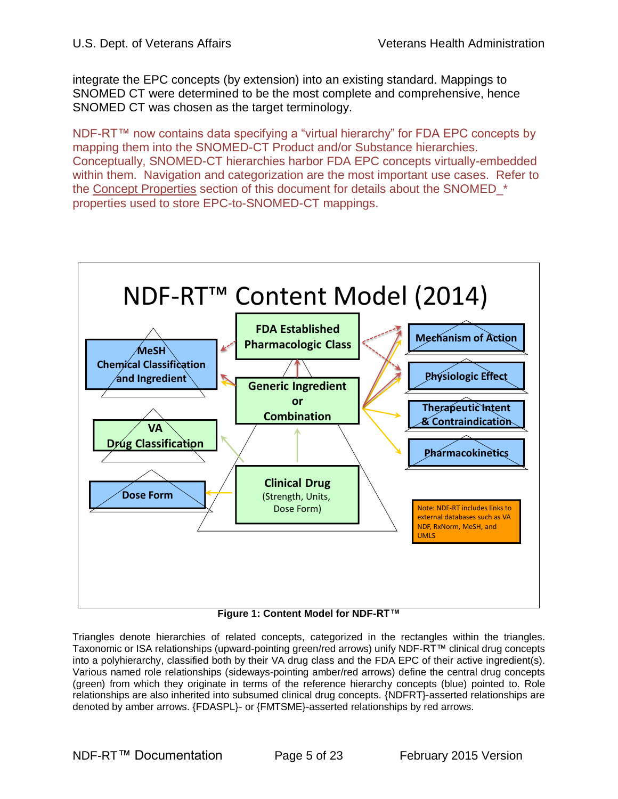integrate the EPC concepts (by extension) into an existing standard. Mappings to SNOMED CT were determined to be the most complete and comprehensive, hence SNOMED CT was chosen as the target terminology.

NDF-RT™ now contains data specifying a "virtual hierarchy" for FDA EPC concepts by mapping them into the SNOMED-CT Product and/or Substance hierarchies. Conceptually, SNOMED-CT hierarchies harbor FDA EPC concepts virtually-embedded within them. Navigation and categorization are the most important use cases. Refer to the Concept Properties section of this document for details about the SNOMED \* properties used to store EPC-to-SNOMED-CT mappings.



**Figure 1: Content Model for NDF-RT™**

Triangles denote hierarchies of related concepts, categorized in the rectangles within the triangles. Taxonomic or ISA relationships (upward-pointing green/red arrows) unify NDF-RT™ clinical drug concepts into a polyhierarchy, classified both by their VA drug class and the FDA EPC of their active ingredient(s). Various named role relationships (sideways-pointing amber/red arrows) define the central drug concepts (green) from which they originate in terms of the reference hierarchy concepts (blue) pointed to. Role relationships are also inherited into subsumed clinical drug concepts. {NDFRT}-asserted relationships are denoted by amber arrows. {FDASPL}- or {FMTSME}-asserted relationships by red arrows.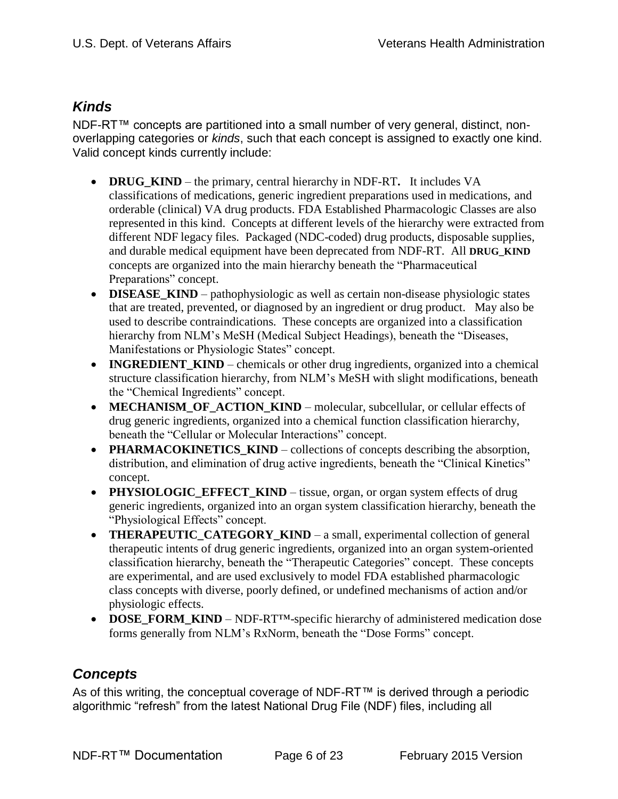## <span id="page-5-0"></span>*Kinds*

NDF-RT™ concepts are partitioned into a small number of very general, distinct, nonoverlapping categories or *kinds*, such that each concept is assigned to exactly one kind. Valid concept kinds currently include:

- **DRUG\_KIND** the primary, central hierarchy in NDF-RT**.** It includes VA classifications of medications, generic ingredient preparations used in medications, and orderable (clinical) VA drug products. FDA Established Pharmacologic Classes are also represented in this kind. Concepts at different levels of the hierarchy were extracted from different NDF legacy files. Packaged (NDC-coded) drug products, disposable supplies, and durable medical equipment have been deprecated from NDF-RT. All **DRUG\_KIND** concepts are organized into the main hierarchy beneath the "Pharmaceutical Preparations" concept.
- **DISEASE\_KIND** pathophysiologic as well as certain non-disease physiologic states that are treated, prevented, or diagnosed by an ingredient or drug product. May also be used to describe contraindications. These concepts are organized into a classification hierarchy from NLM's MeSH (Medical Subject Headings), beneath the "Diseases, Manifestations or Physiologic States" concept.
- **INGREDIENT KIND** chemicals or other drug ingredients, organized into a chemical structure classification hierarchy, from NLM's MeSH with slight modifications, beneath the "Chemical Ingredients" concept.
- **MECHANISM OF ACTION KIND** molecular, subcellular, or cellular effects of drug generic ingredients, organized into a chemical function classification hierarchy, beneath the "Cellular or Molecular Interactions" concept.
- **PHARMACOKINETICS\_KIND** collections of concepts describing the absorption, distribution, and elimination of drug active ingredients, beneath the "Clinical Kinetics" concept.
- PHYSIOLOGIC\_EFFECT\_KIND tissue, organ, or organ system effects of drug generic ingredients, organized into an organ system classification hierarchy, beneath the "Physiological Effects" concept.
- **THERAPEUTIC CATEGORY KIND** a small, experimental collection of general therapeutic intents of drug generic ingredients, organized into an organ system-oriented classification hierarchy, beneath the "Therapeutic Categories" concept. These concepts are experimental, and are used exclusively to model FDA established pharmacologic class concepts with diverse, poorly defined, or undefined mechanisms of action and/or physiologic effects.
- **DOSE\_FORM\_KIND** NDF-RT<sup>TM</sup>-specific hierarchy of administered medication dose forms generally from NLM's RxNorm, beneath the "Dose Forms" concept.

# <span id="page-5-1"></span>*Concepts*

As of this writing, the conceptual coverage of NDF-RT™ is derived through a periodic algorithmic "refresh" from the latest National Drug File (NDF) files, including all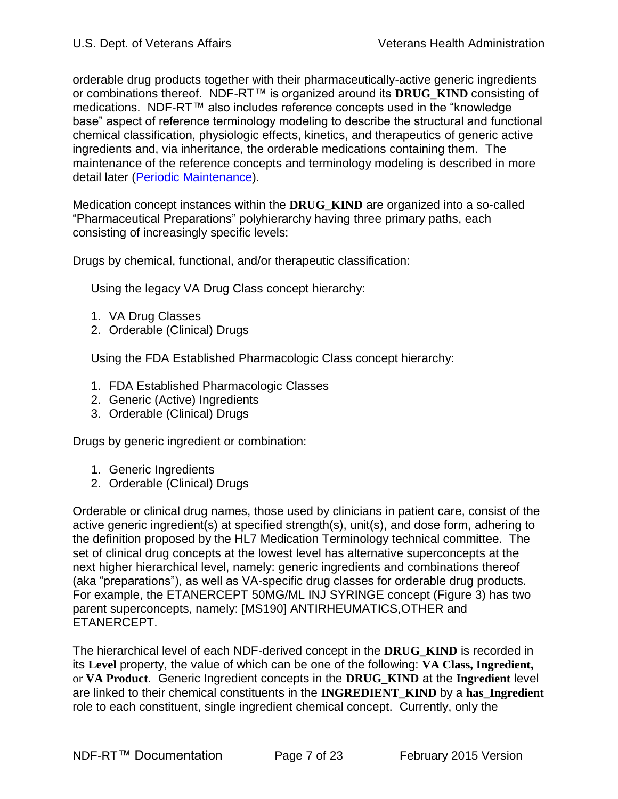orderable drug products together with their pharmaceutically-active generic ingredients or combinations thereof. NDF-RT™ is organized around its **DRUG\_KIND** consisting of medications. NDF-RT™ also includes reference concepts used in the "knowledge base" aspect of reference terminology modeling to describe the structural and functional chemical classification, physiologic effects, kinetics, and therapeutics of generic active ingredients and, via inheritance, the orderable medications containing them. The maintenance of the reference concepts and terminology modeling is described in more detail later [\(Periodic Maintenance\)](#page-16-1).

Medication concept instances within the **DRUG\_KIND** are organized into a so-called "Pharmaceutical Preparations" polyhierarchy having three primary paths, each consisting of increasingly specific levels:

Drugs by chemical, functional, and/or therapeutic classification:

Using the legacy VA Drug Class concept hierarchy:

- 1. VA Drug Classes
- 2. Orderable (Clinical) Drugs

Using the FDA Established Pharmacologic Class concept hierarchy:

- 1. FDA Established Pharmacologic Classes
- 2. Generic (Active) Ingredients
- 3. Orderable (Clinical) Drugs

Drugs by generic ingredient or combination:

- 1. Generic Ingredients
- 2. Orderable (Clinical) Drugs

Orderable or clinical drug names, those used by clinicians in patient care, consist of the active generic ingredient(s) at specified strength(s), unit(s), and dose form, adhering to the definition proposed by the HL7 Medication Terminology technical committee. The set of clinical drug concepts at the lowest level has alternative superconcepts at the next higher hierarchical level, namely: generic ingredients and combinations thereof (aka "preparations"), as well as VA-specific drug classes for orderable drug products. For example, the ETANERCEPT 50MG/ML INJ SYRINGE concept (Figure 3) has two parent superconcepts, namely: [MS190] ANTIRHEUMATICS,OTHER and ETANERCEPT.

The hierarchical level of each NDF-derived concept in the **DRUG\_KIND** is recorded in its **Level** property, the value of which can be one of the following: **VA Class, Ingredient,**  or **VA Product**. Generic Ingredient concepts in the **DRUG\_KIND** at the **Ingredient** level are linked to their chemical constituents in the **INGREDIENT\_KIND** by a **has\_Ingredient**  role to each constituent, single ingredient chemical concept. Currently, only the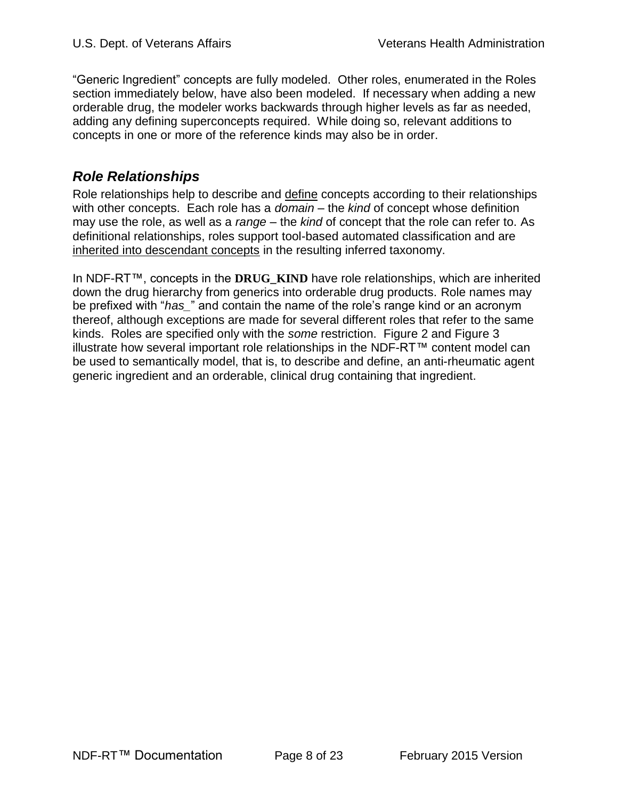"Generic Ingredient" concepts are fully modeled. Other roles, enumerated in the Roles section immediately below, have also been modeled. If necessary when adding a new orderable drug, the modeler works backwards through higher levels as far as needed, adding any defining superconcepts required. While doing so, relevant additions to concepts in one or more of the reference kinds may also be in order.

# <span id="page-7-0"></span>*Role Relationships*

Role relationships help to describe and define concepts according to their relationships with other concepts. Each role has a *domain* – the *kind* of concept whose definition may use the role, as well as a *range* – the *kind* of concept that the role can refer to. As definitional relationships, roles support tool-based automated classification and are inherited into descendant concepts in the resulting inferred taxonomy.

In NDF-RT™, concepts in the **DRUG\_KIND** have role relationships, which are inherited down the drug hierarchy from generics into orderable drug products. Role names may be prefixed with "*has\_*" and contain the name of the role's range kind or an acronym thereof, although exceptions are made for several different roles that refer to the same kinds. Roles are specified only with the *some* restriction. [Figure 2](#page-8-0) and [Figure 3](#page-9-0) illustrate how several important role relationships in the NDF-RT™ content model can be used to semantically model, that is, to describe and define, an anti-rheumatic agent generic ingredient and an orderable, clinical drug containing that ingredient.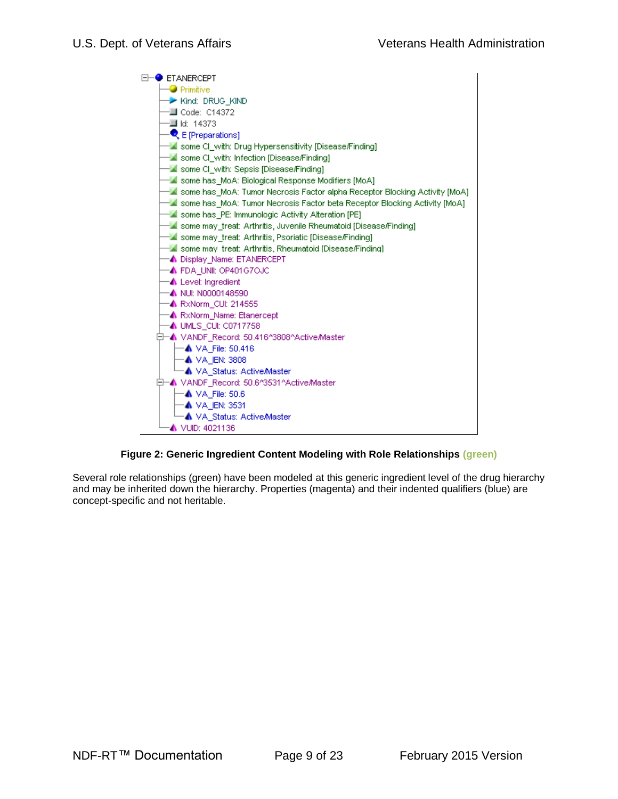

#### **Figure 2: Generic Ingredient Content Modeling with Role Relationships (green)**

<span id="page-8-0"></span>Several role relationships (green) have been modeled at this generic ingredient level of the drug hierarchy and may be inherited down the hierarchy. Properties (magenta) and their indented qualifiers (blue) are concept-specific and not heritable.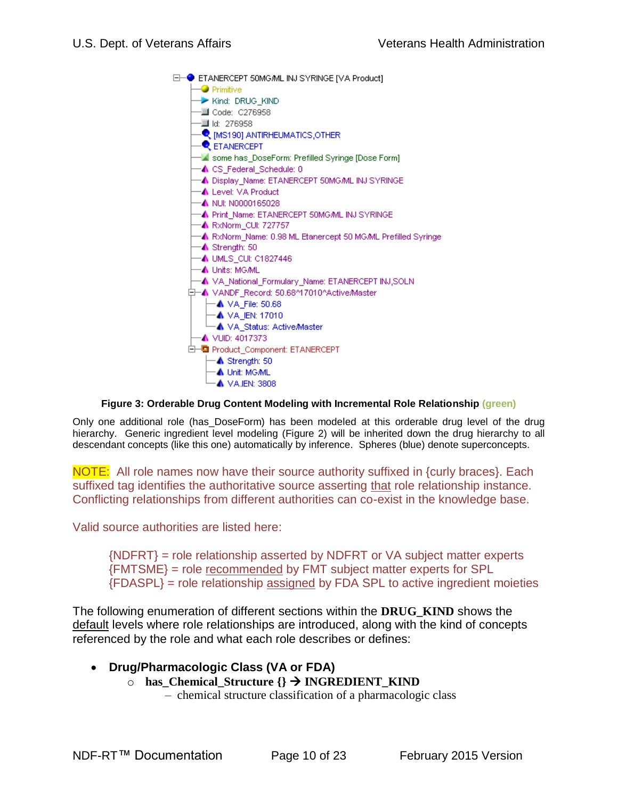

#### **Figure 3: Orderable Drug Content Modeling with Incremental Role Relationship (green)**

<span id="page-9-0"></span>Only one additional role (has\_DoseForm) has been modeled at this orderable drug level of the drug hierarchy. Generic ingredient level modeling (Figure 2) will be inherited down the drug hierarchy to all descendant concepts (like this one) automatically by inference. Spheres (blue) denote superconcepts.

NOTE: All role names now have their source authority suffixed in {curly braces}. Each suffixed tag identifies the authoritative source asserting that role relationship instance. Conflicting relationships from different authorities can co-exist in the knowledge base.

Valid source authorities are listed here:

{NDFRT} = role relationship asserted by NDFRT or VA subject matter experts {FMTSME} = role recommended by FMT subject matter experts for SPL {FDASPL} = role relationship assigned by FDA SPL to active ingredient moieties

The following enumeration of different sections within the **DRUG\_KIND** shows the default levels where role relationships are introduced, along with the kind of concepts referenced by the role and what each role describes or defines:

- **Drug/Pharmacologic Class (VA or FDA)**
	- o **has\_Chemical\_Structure {} INGREDIENT\_KIND**
		- chemical structure classification of a pharmacologic class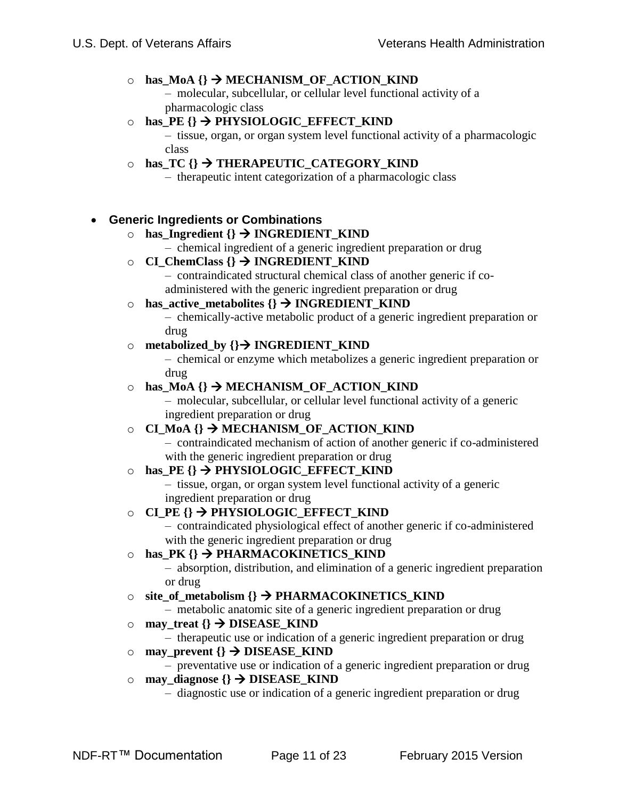#### $\circ$  **has\_MoA**  $\{\} \rightarrow \text{MECHANISM\_OF\_ACTION\_KIND$

– molecular, subcellular, or cellular level functional activity of a pharmacologic class

#### o **has\_PE {} PHYSIOLOGIC\_EFFECT\_KIND**

– tissue, organ, or organ system level functional activity of a pharmacologic class

### $\circ$  **has TC**  $\{\}$   $\rightarrow$  **THERAPEUTIC CATEGORY KIND**

– therapeutic intent categorization of a pharmacologic class

### **Generic Ingredients or Combinations**

### $\circ$  **has Ingredient**  $\{\} \rightarrow \text{INGREDIENT}$  KIND

- chemical ingredient of a generic ingredient preparation or drug
- $\circ$  **CI** ChemClass  $\{$ }  $\rightarrow$  **INGREDIENT** KIND
	- contraindicated structural chemical class of another generic if coadministered with the generic ingredient preparation or drug

#### o **has\_active\_metabolites {} INGREDIENT\_KIND**

– chemically-active metabolic product of a generic ingredient preparation or drug

#### o **metabolized\_by {} INGREDIENT\_KIND**

– chemical or enzyme which metabolizes a generic ingredient preparation or drug

#### o **has\_MoA** {}  $\rightarrow$  MECHANISM\_OF\_ACTION\_KIND

– molecular, subcellular, or cellular level functional activity of a generic ingredient preparation or drug

#### $\circ$  **CI** MoA<sup>{}</sup>  $\rightarrow$  MECHANISM OF ACTION KIND

– contraindicated mechanism of action of another generic if co-administered with the generic ingredient preparation or drug

#### $\circ$  **has PE**  $\{\}$   $\rightarrow$  **PHYSIOLOGIC** EFFECT KIND

– tissue, organ, or organ system level functional activity of a generic ingredient preparation or drug

### o **CI\_PE {} PHYSIOLOGIC\_EFFECT\_KIND**

– contraindicated physiological effect of another generic if co-administered with the generic ingredient preparation or drug

#### $\circ$  **has\_PK**  $\{\}$   $\rightarrow$  **PHARMACOKINETICS\_KIND**

– absorption, distribution, and elimination of a generic ingredient preparation or drug

### o **site\_of\_metabolism {} PHARMACOKINETICS\_KIND**

– metabolic anatomic site of a generic ingredient preparation or drug

- $\circ$  **may\_treat**  $\{\}$   $\rightarrow$  **DISEASE\_KIND** 
	- therapeutic use or indication of a generic ingredient preparation or drug
- $\circ$  **may** prevent  $\{\}$   $\rightarrow$  DISEASE KIND
	- preventative use or indication of a generic ingredient preparation or drug

### $\circ$  **may** diagnose  $\{\}$   $\rightarrow$  DISEASE KIND

– diagnostic use or indication of a generic ingredient preparation or drug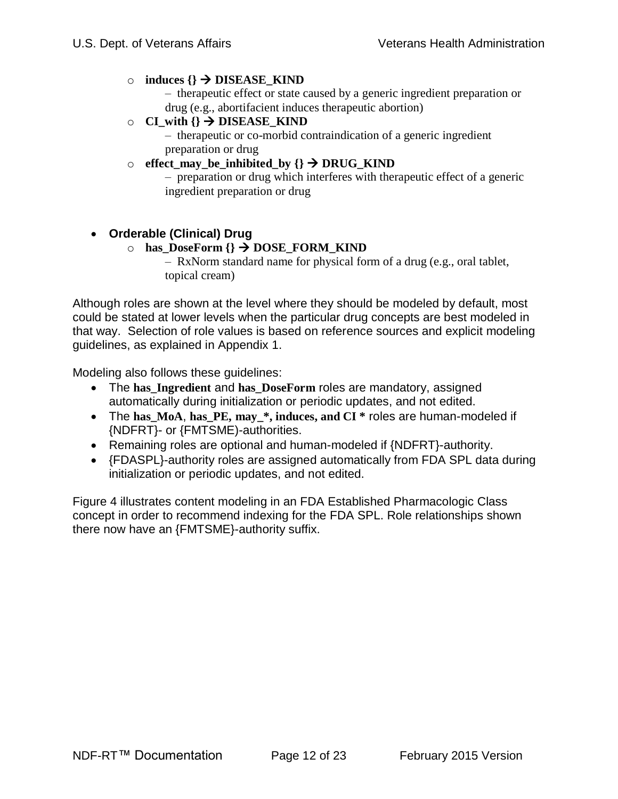#### $\circ$  **induces**  $\{\}$   $\rightarrow$  **DISEASE\_KIND**

– therapeutic effect or state caused by a generic ingredient preparation or drug (e.g., abortifacient induces therapeutic abortion)

#### $\circ$  **CI** with  $\{\} \rightarrow$  DISEASE KIND

– therapeutic or co-morbid contraindication of a generic ingredient preparation or drug

#### $\circ$  effect may be inhibited by  $\{\} \rightarrow \text{DRUG}\ KIND$

– preparation or drug which interferes with therapeutic effect of a generic ingredient preparation or drug

### **Orderable (Clinical) Drug**

#### $\circ$  **has\_DoseForm**  $\{\}$   $\rightarrow$  DOSE\_FORM\_KIND

– RxNorm standard name for physical form of a drug (e.g., oral tablet, topical cream)

Although roles are shown at the level where they should be modeled by default, most could be stated at lower levels when the particular drug concepts are best modeled in that way. Selection of role values is based on reference sources and explicit modeling guidelines, as explained in Appendix 1.

Modeling also follows these guidelines:

- The has Ingredient and has DoseForm roles are mandatory, assigned automatically during initialization or periodic updates, and not edited.
- The **has\_MoA**, **has\_PE, may\_\*, induces, and CI \*** roles are human-modeled if {NDFRT}- or {FMTSME)-authorities.
- Remaining roles are optional and human-modeled if {NDFRT}-authority.
- {FDASPL}-authority roles are assigned automatically from FDA SPL data during initialization or periodic updates, and not edited.

[Figure 4](#page-12-1) illustrates content modeling in an FDA Established Pharmacologic Class concept in order to recommend indexing for the FDA SPL. Role relationships shown there now have an {FMTSME}-authority suffix.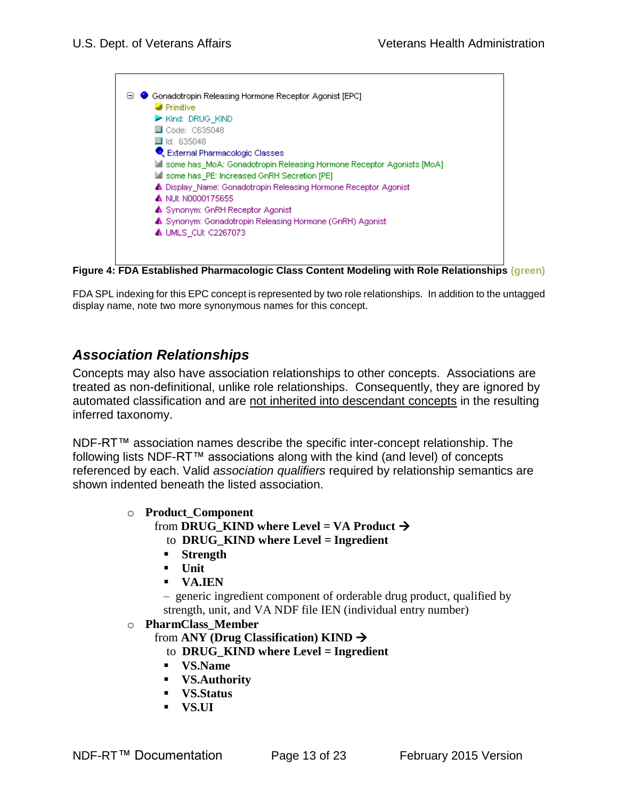

<span id="page-12-1"></span>**Figure 4: FDA Established Pharmacologic Class Content Modeling with Role Relationships (green)**

<span id="page-12-0"></span>FDA SPL indexing for this EPC concept is represented by two role relationships. In addition to the untagged display name, note two more synonymous names for this concept.

### *Association Relationships*

Concepts may also have association relationships to other concepts. Associations are treated as non-definitional, unlike role relationships. Consequently, they are ignored by automated classification and are not inherited into descendant concepts in the resulting inferred taxonomy.

NDF-RT™ association names describe the specific inter-concept relationship. The following lists NDF-RT™ associations along with the kind (and level) of concepts referenced by each. Valid *association qualifiers* required by relationship semantics are shown indented beneath the listed association.

- o **Product\_Component**
	- from **DRUG** KIND where Level = VA Product  $\rightarrow$ 
		- to **DRUG\_KIND where Level = Ingredient**
		- **Strength**
		- **Unit**
		- **VA.IEN**

– generic ingredient component of orderable drug product, qualified by strength, unit, and VA NDF file IEN (individual entry number)

#### o **PharmClass\_Member**

from **ANY (Drug Classification) KIND**

- to **DRUG\_KIND where Level = Ingredient**
- **VS.Name**
- **VS.Authority**
- **VS.Status**
- **VS.UI**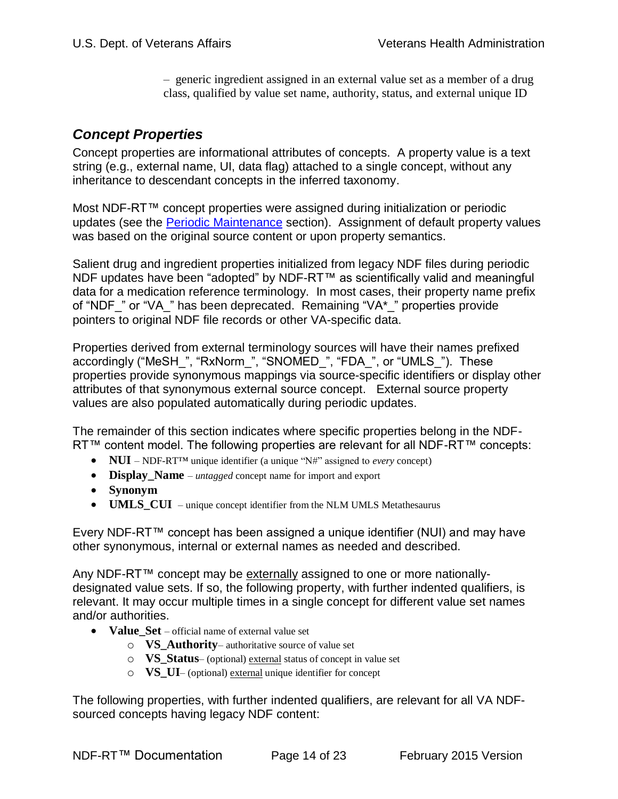– generic ingredient assigned in an external value set as a member of a drug class, qualified by value set name, authority, status, and external unique ID

## <span id="page-13-0"></span>*Concept Properties*

Concept properties are informational attributes of concepts. A property value is a text string (e.g., external name, UI, data flag) attached to a single concept, without any inheritance to descendant concepts in the inferred taxonomy.

Most NDF-RT™ concept properties were assigned during initialization or periodic updates (see the [Periodic Maintenance](#page-16-1) section). Assignment of default property values was based on the original source content or upon property semantics.

Salient drug and ingredient properties initialized from legacy NDF files during periodic NDF updates have been "adopted" by NDF-RT™ as scientifically valid and meaningful data for a medication reference terminology. In most cases, their property name prefix of "NDF" or "VA" has been deprecated. Remaining "VA\*" properties provide pointers to original NDF file records or other VA-specific data.

Properties derived from external terminology sources will have their names prefixed accordingly ("MeSH\_", "RxNorm\_", "SNOMED\_", "FDA\_", or "UMLS\_"). These properties provide synonymous mappings via source-specific identifiers or display other attributes of that synonymous external source concept. External source property values are also populated automatically during periodic updates.

The remainder of this section indicates where specific properties belong in the NDF-RT™ content model. The following properties are relevant for all NDF-RT™ concepts:

- **NUI** NDF-RT™ unique identifier (a unique "N#" assigned to *every* concept)
- **Display\_Name** *untagged* concept name for import and export
- **Synonym**
- **UMLS\_CUI**  unique concept identifier from the NLM UMLS Metathesaurus

Every NDF-RT™ concept has been assigned a unique identifier (NUI) and may have other synonymous, internal or external names as needed and described.

Any NDF-RT™ concept may be externally assigned to one or more nationallydesignated value sets. If so, the following property, with further indented qualifiers, is relevant. It may occur multiple times in a single concept for different value set names and/or authorities.

- Value Set official name of external value set
	- o **VS\_Authority** authoritative source of value set
	- o **VS\_Status** (optional) external status of concept in value set
	- o **VS\_UI** (optional) external unique identifier for concept

The following properties, with further indented qualifiers, are relevant for all VA NDFsourced concepts having legacy NDF content: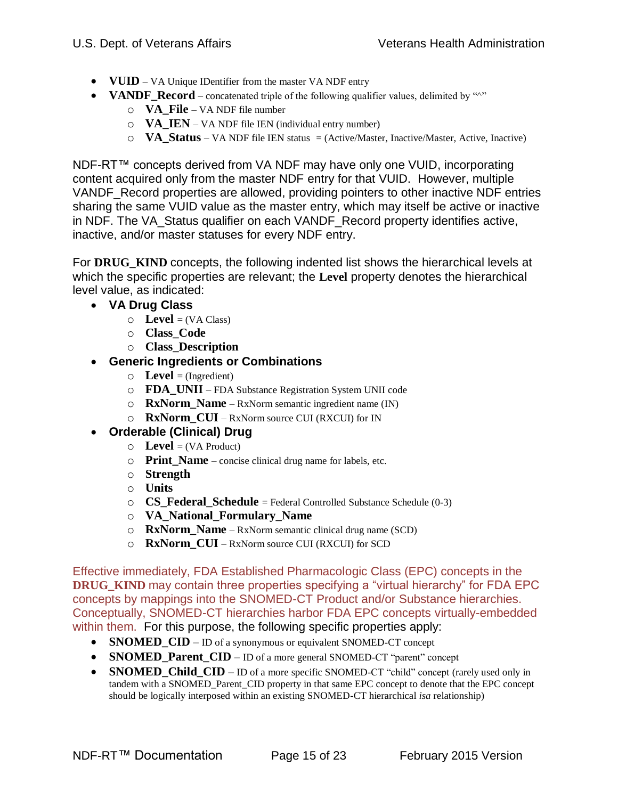- **VUID** VA Unique IDentifier from the master VA NDF entry
- **VANDF\_Record** concatenated triple of the following qualifier values, delimited by "<sup>^"</sup>
	- o **VA\_File** VA NDF file number
	- o **VA\_IEN** VA NDF file IEN (individual entry number)
	- o **VA\_Status**  VA NDF file IEN status = (Active/Master, Inactive/Master, Active, Inactive)

NDF-RT™ concepts derived from VA NDF may have only one VUID, incorporating content acquired only from the master NDF entry for that VUID. However, multiple VANDF\_Record properties are allowed, providing pointers to other inactive NDF entries sharing the same VUID value as the master entry, which may itself be active or inactive in NDF. The VA\_Status qualifier on each VANDF\_Record property identifies active, inactive, and/or master statuses for every NDF entry.

For **DRUG\_KIND** concepts, the following indented list shows the hierarchical levels at which the specific properties are relevant; the **Level** property denotes the hierarchical level value, as indicated:

- **VA Drug Class**
	- $\circ$  **Level** = (VA Class)
	- o **Class\_Code**
	- o **Class\_Description**
- **Generic Ingredients or Combinations**
	- $\circ$  **Level** = (Ingredient)
	- o **FDA\_UNII** FDA Substance Registration System UNII code
	- o **RxNorm\_Name**  RxNorm semantic ingredient name (IN)
	- o **RxNorm\_CUI**  RxNorm source CUI (RXCUI) for IN
- **Orderable (Clinical) Drug**
	- $\circ$  **Level** = (VA Product)
	- o **Print\_Name** concise clinical drug name for labels, etc.
	- o **Strength**
	- o **Units**
	- o **CS\_Federal\_Schedule** = Federal Controlled Substance Schedule (0-3)
	- o **VA\_National\_Formulary\_Name**
	- o **RxNorm\_Name**  RxNorm semantic clinical drug name (SCD)
	- o **RxNorm\_CUI**  RxNorm source CUI (RXCUI) for SCD

Effective immediately, FDA Established Pharmacologic Class (EPC) concepts in the **DRUG** KIND may contain three properties specifying a "virtual hierarchy" for FDA EPC concepts by mappings into the SNOMED-CT Product and/or Substance hierarchies. Conceptually, SNOMED-CT hierarchies harbor FDA EPC concepts virtually-embedded within them. For this purpose, the following specific properties apply:

- **SNOMED\_CID**  ID of a synonymous or equivalent SNOMED-CT concept
- **SNOMED\_Parent\_CID** ID of a more general SNOMED-CT "parent" concept
- **SNOMED Child CID** ID of a more specific SNOMED-CT "child" concept (rarely used only in tandem with a SNOMED\_Parent\_CID property in that same EPC concept to denote that the EPC concept should be logically interposed within an existing SNOMED-CT hierarchical *isa* relationship)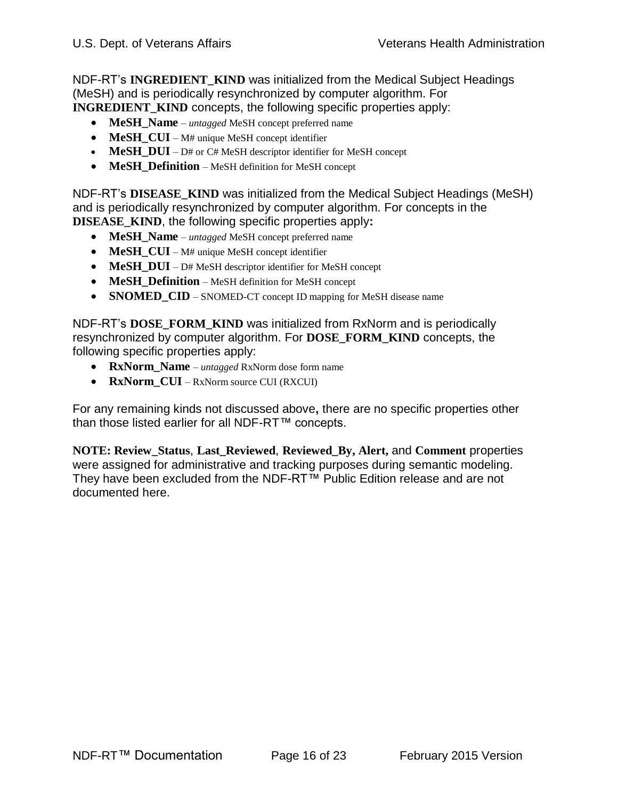NDF-RT's **INGREDIENT\_KIND** was initialized from the Medical Subject Headings (MeSH) and is periodically resynchronized by computer algorithm. For **INGREDIENT KIND** concepts, the following specific properties apply:

- **MeSH** Name *untagged* MeSH concept preferred name
- **MeSH CUI** M# unique MeSH concept identifier
- **MeSH DUI** D# or C# MeSH descriptor identifier for MeSH concept
- **MeSH\_Definition** MeSH definition for MeSH concept

NDF-RT's **DISEASE\_KIND** was initialized from the Medical Subject Headings (MeSH) and is periodically resynchronized by computer algorithm. For concepts in the **DISEASE\_KIND**, the following specific properties apply**:**

- **MeSH Name** *untagged* MeSH concept preferred name
- **MeSH\_CUI** M# unique MeSH concept identifier
- **MeSH\_DUI**  D# MeSH descriptor identifier for MeSH concept
- **MeSH Definition** MeSH definition for MeSH concept
- **SNOMED\_CID** SNOMED-CT concept ID mapping for MeSH disease name

NDF-RT's **DOSE\_FORM\_KIND** was initialized from RxNorm and is periodically resynchronized by computer algorithm. For **DOSE\_FORM\_KIND** concepts, the following specific properties apply:

- **RxNorm\_Name**  *untagged* RxNorm dose form name
- **RxNorm\_CUI** RxNorm source CUI (RXCUI)

For any remaining kinds not discussed above**,** there are no specific properties other than those listed earlier for all NDF-RT™ concepts.

**NOTE: Review\_Status**, **Last\_Reviewed**, **Reviewed\_By, Alert,** and **Comment** properties were assigned for administrative and tracking purposes during semantic modeling. They have been excluded from the NDF-RT™ Public Edition release and are not documented here.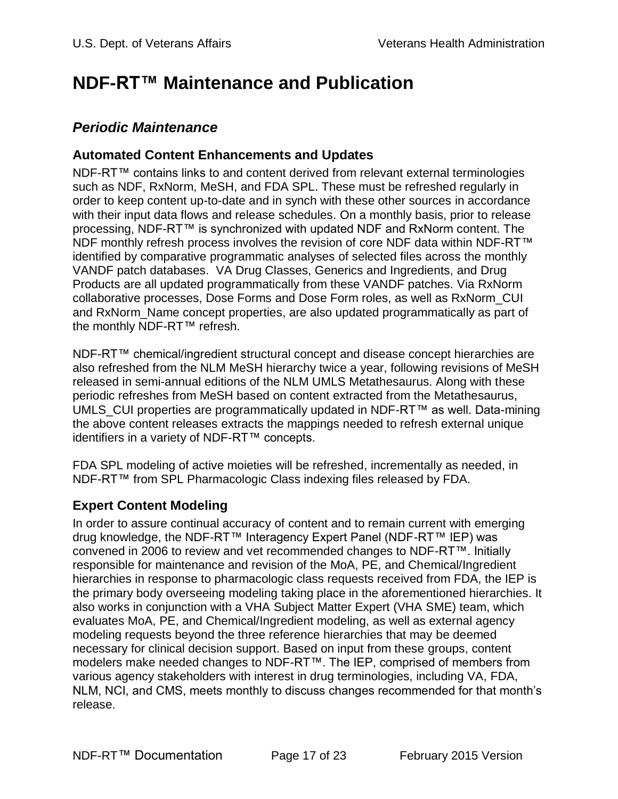# <span id="page-16-0"></span>**NDF-RT™ Maintenance and Publication**

## <span id="page-16-1"></span>*Periodic Maintenance*

### <span id="page-16-2"></span>**Automated Content Enhancements and Updates**

NDF-RT™ contains links to and content derived from relevant external terminologies such as NDF, RxNorm, MeSH, and FDA SPL. These must be refreshed regularly in order to keep content up-to-date and in synch with these other sources in accordance with their input data flows and release schedules. On a monthly basis, prior to release processing, NDF-RT™ is synchronized with updated NDF and RxNorm content. The NDF monthly refresh process involves the revision of core NDF data within NDF-RT™ identified by comparative programmatic analyses of selected files across the monthly VANDF patch databases. VA Drug Classes, Generics and Ingredients, and Drug Products are all updated programmatically from these VANDF patches. Via RxNorm collaborative processes, Dose Forms and Dose Form roles, as well as RxNorm\_CUI and RxNorm Name concept properties, are also updated programmatically as part of the monthly NDF-RT™ refresh.

NDF-RT™ chemical/ingredient structural concept and disease concept hierarchies are also refreshed from the NLM MeSH hierarchy twice a year, following revisions of MeSH released in semi-annual editions of the NLM UMLS Metathesaurus. Along with these periodic refreshes from MeSH based on content extracted from the Metathesaurus, UMLS\_CUI properties are programmatically updated in NDF-RT™ as well. Data-mining the above content releases extracts the mappings needed to refresh external unique identifiers in a variety of NDF-RT™ concepts.

FDA SPL modeling of active moieties will be refreshed, incrementally as needed, in NDF-RT™ from SPL Pharmacologic Class indexing files released by FDA.

### <span id="page-16-3"></span>**Expert Content Modeling**

In order to assure continual accuracy of content and to remain current with emerging drug knowledge, the NDF-RT™ Interagency Expert Panel (NDF-RT™ IEP) was convened in 2006 to review and vet recommended changes to NDF-RT™. Initially responsible for maintenance and revision of the MoA, PE, and Chemical/Ingredient hierarchies in response to pharmacologic class requests received from FDA, the IEP is the primary body overseeing modeling taking place in the aforementioned hierarchies. It also works in conjunction with a VHA Subject Matter Expert (VHA SME) team, which evaluates MoA, PE, and Chemical/Ingredient modeling, as well as external agency modeling requests beyond the three reference hierarchies that may be deemed necessary for clinical decision support. Based on input from these groups, content modelers make needed changes to NDF-RT™. The IEP, comprised of members from various agency stakeholders with interest in drug terminologies, including VA, FDA, NLM, NCI, and CMS, meets monthly to discuss changes recommended for that month's release.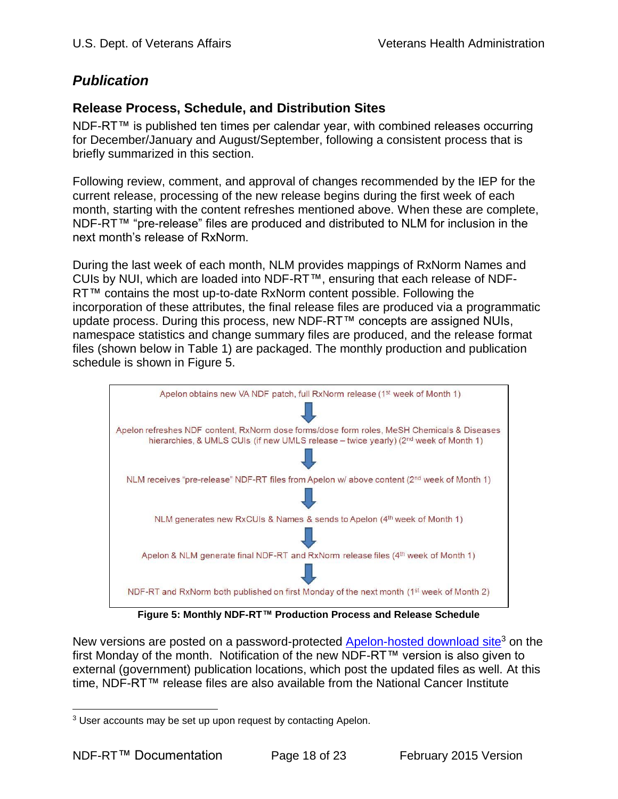## <span id="page-17-0"></span>*Publication*

### <span id="page-17-1"></span>**Release Process, Schedule, and Distribution Sites**

NDF-RT™ is published ten times per calendar year, with combined releases occurring for December/January and August/September, following a consistent process that is briefly summarized in this section.

Following review, comment, and approval of changes recommended by the IEP for the current release, processing of the new release begins during the first week of each month, starting with the content refreshes mentioned above. When these are complete, NDF-RT™ "pre-release" files are produced and distributed to NLM for inclusion in the next month's release of RxNorm.

During the last week of each month, NLM provides mappings of RxNorm Names and CUIs by NUI, which are loaded into NDF-RT™, ensuring that each release of NDF-RT™ contains the most up-to-date RxNorm content possible. Following the incorporation of these attributes, the final release files are produced via a programmatic update process. During this process, new NDF-RT™ concepts are assigned NUIs, namespace statistics and change summary files are produced, and the release format files (shown below in [Table 1\)](#page-18-0) are packaged. The monthly production and publication schedule is shown in [Figure 5.](#page-17-2)



**Figure 5: Monthly NDF-RT™ Production Process and Release Schedule**

<span id="page-17-2"></span>New versions are posted on a password-protected **Apelon-hosted download site**<sup>3</sup> on the first Monday of the month. Notification of the new NDF-RT™ version is also given to external (government) publication locations, which post the updated files as well. At this time, NDF-RT™ release files are also available from the National Cancer Institute

 $\overline{a}$ <sup>3</sup> User accounts may be set up upon request by contacting Apelon.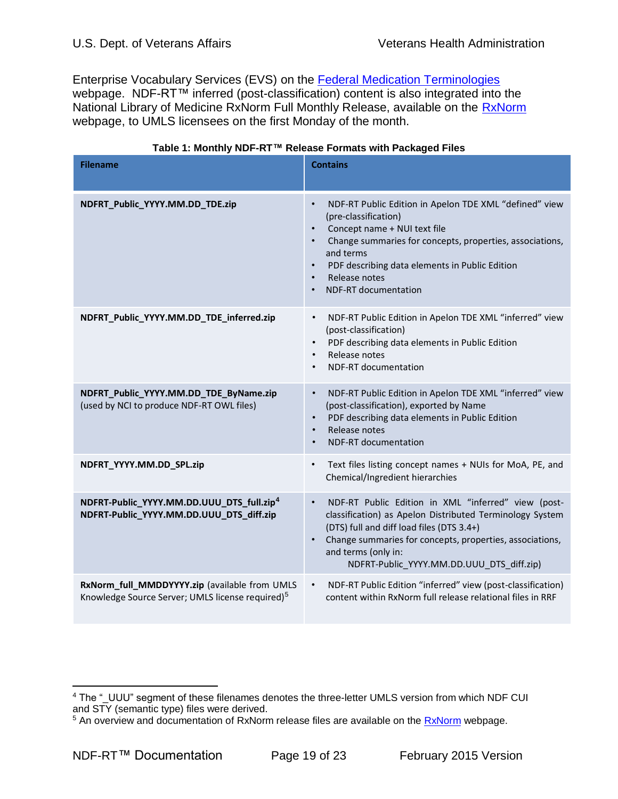Enterprise Vocabulary Services (EVS) on the [Federal Medication Terminologies](http://www.cancer.gov/cancertopics/terminologyresources/page4) webpage. NDF-RT™ inferred (post-classification) content is also integrated into the National Library of Medicine RxNorm Full Monthly Release, available on the [RxNorm](http://www.nlm.nih.gov/research/umls/rxnorm/index.html) webpage, to UMLS licensees on the first Monday of the month.

<span id="page-18-0"></span>

| <b>Filename</b>                                                                                               | <b>Contains</b>                                                                                                                                                                                                                                                                                           |
|---------------------------------------------------------------------------------------------------------------|-----------------------------------------------------------------------------------------------------------------------------------------------------------------------------------------------------------------------------------------------------------------------------------------------------------|
| NDFRT_Public_YYYY.MM.DD_TDE.zip                                                                               | NDF-RT Public Edition in Apelon TDE XML "defined" view<br>$\bullet$<br>(pre-classification)<br>Concept name + NUI text file<br>Change summaries for concepts, properties, associations,<br>and terms<br>PDF describing data elements in Public Edition<br>Release notes<br>NDF-RT documentation           |
| NDFRT_Public_YYYY.MM.DD_TDE_inferred.zip                                                                      | NDF-RT Public Edition in Apelon TDE XML "inferred" view<br>$\bullet$<br>(post-classification)<br>PDF describing data elements in Public Edition<br>Release notes<br>$\bullet$<br><b>NDF-RT</b> documentation<br>$\bullet$                                                                                 |
| NDFRT_Public_YYYY.MM.DD_TDE_ByName.zip<br>(used by NCI to produce NDF-RT OWL files)                           | NDF-RT Public Edition in Apelon TDE XML "inferred" view<br>$\bullet$<br>(post-classification), exported by Name<br>PDF describing data elements in Public Edition<br>$\bullet$<br>Release notes<br>$\bullet$<br>NDF-RT documentation                                                                      |
| NDFRT_YYYY.MM.DD_SPL.zip                                                                                      | Text files listing concept names + NUIs for MoA, PE, and<br>$\bullet$<br>Chemical/Ingredient hierarchies                                                                                                                                                                                                  |
| NDFRT-Public_YYYY.MM.DD.UUU_DTS_full.zip <sup>4</sup><br>NDFRT-Public_YYYY.MM.DD.UUU_DTS_diff.zip             | NDF-RT Public Edition in XML "inferred" view (post-<br>$\bullet$<br>classification) as Apelon Distributed Terminology System<br>(DTS) full and diff load files (DTS 3.4+)<br>Change summaries for concepts, properties, associations,<br>and terms (only in:<br>NDFRT-Public YYYY.MM.DD.UUU DTS diff.zip) |
| RxNorm_full_MMDDYYYY.zip (available from UMLS<br>Knowledge Source Server; UMLS license required) <sup>5</sup> | NDF-RT Public Edition "inferred" view (post-classification)<br>$\bullet$<br>content within RxNorm full release relational files in RRF                                                                                                                                                                    |

#### **Table 1: Monthly NDF-RT™ Release Formats with Packaged Files**

 $\overline{a}$ 

<sup>4</sup> The "\_UUU" segment of these filenames denotes the three-letter UMLS version from which NDF CUI and STY (semantic type) files were derived.

<sup>&</sup>lt;sup>5</sup> An overview and documentation of [RxNorm](http://www.nlm.nih.gov/research/umls/rxnorm/index.html) release files are available on the RxNorm webpage.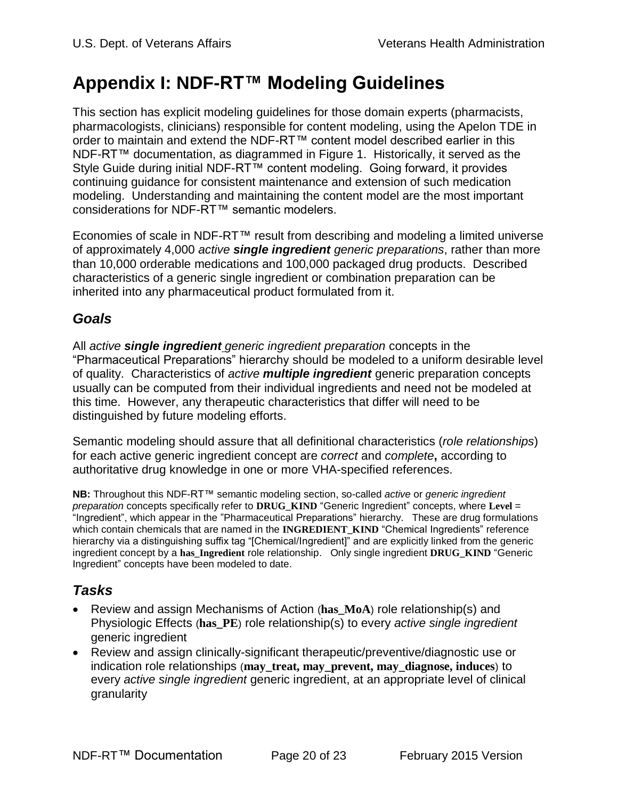# <span id="page-19-0"></span>**Appendix I: NDF-RT™ Modeling Guidelines**

This section has explicit modeling guidelines for those domain experts (pharmacists, pharmacologists, clinicians) responsible for content modeling, using the Apelon TDE in order to maintain and extend the NDF-RT™ content model described earlier in this NDF-RT™ documentation, as diagrammed in Figure 1. Historically, it served as the Style Guide during initial NDF-RT™ content modeling. Going forward, it provides continuing guidance for consistent maintenance and extension of such medication modeling. Understanding and maintaining the content model are the most important considerations for NDF-RT™ semantic modelers.

Economies of scale in NDF-RT™ result from describing and modeling a limited universe of approximately 4,000 *active single ingredient generic preparations*, rather than more than 10,000 orderable medications and 100,000 packaged drug products. Described characteristics of a generic single ingredient or combination preparation can be inherited into any pharmaceutical product formulated from it.

# <span id="page-19-1"></span>*Goals*

All *active single ingredient generic ingredient preparation* concepts in the "Pharmaceutical Preparations" hierarchy should be modeled to a uniform desirable level of quality. Characteristics of *active multiple ingredient* generic preparation concepts usually can be computed from their individual ingredients and need not be modeled at this time. However, any therapeutic characteristics that differ will need to be distinguished by future modeling efforts.

Semantic modeling should assure that all definitional characteristics (*role relationships*) for each active generic ingredient concept are *correct* and *complete***,** according to authoritative drug knowledge in one or more VHA-specified references.

**NB:** Throughout this NDF-RT™ semantic modeling section, so-called *active* or *generic ingredient preparation* concepts specifically refer to **DRUG\_KIND** "Generic Ingredient" concepts, where **Level** = "Ingredient", which appear in the "Pharmaceutical Preparations" hierarchy. These are drug formulations which contain chemicals that are named in the **INGREDIENT KIND** "Chemical Ingredients" reference hierarchy via a distinguishing suffix tag "[Chemical/Ingredient]" and are explicitly linked from the generic ingredient concept by a **has\_Ingredient** role relationship. Only single ingredient **DRUG\_KIND** "Generic Ingredient" concepts have been modeled to date.

# <span id="page-19-2"></span>*Tasks*

- Review and assign Mechanisms of Action (**has MoA**) role relationship(s) and Physiologic Effects (**has\_PE**) role relationship(s) to every *active single ingredient* generic ingredient
- Review and assign clinically-significant therapeutic/preventive/diagnostic use or indication role relationships (**may\_treat, may\_prevent, may\_diagnose, induces**) to every *active single ingredient* generic ingredient, at an appropriate level of clinical granularity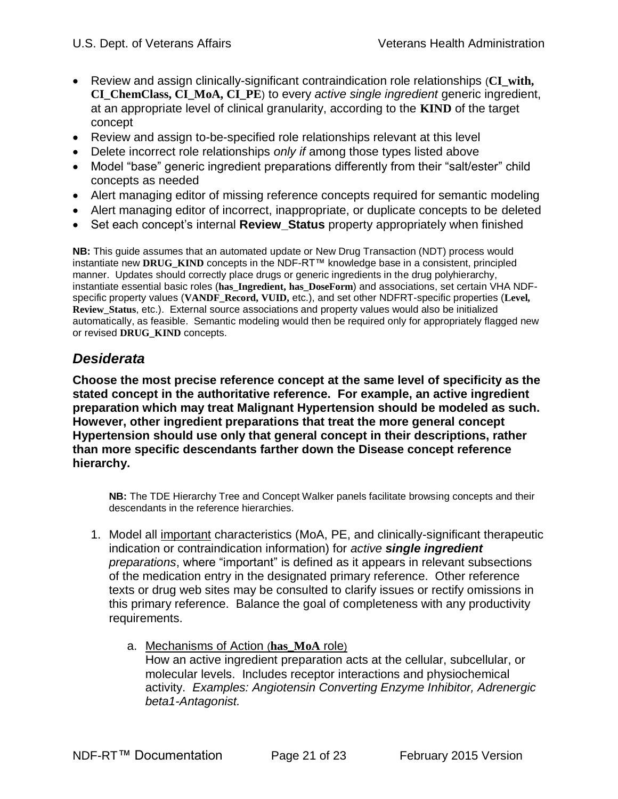- Review and assign clinically-significant contraindication role relationships (**CI\_with, CI\_ChemClass, CI\_MoA, CI\_PE**) to every *active single ingredient* generic ingredient, at an appropriate level of clinical granularity, according to the **KIND** of the target concept
- Review and assign to-be-specified role relationships relevant at this level
- Delete incorrect role relationships *only if* among those types listed above
- Model "base" generic ingredient preparations differently from their "salt/ester" child concepts as needed
- Alert managing editor of missing reference concepts required for semantic modeling
- Alert managing editor of incorrect, inappropriate, or duplicate concepts to be deleted
- Set each concept's internal **Review Status** property appropriately when finished

**NB:** This guide assumes that an automated update or New Drug Transaction (NDT) process would instantiate new **DRUG\_KIND** concepts in the NDF-RT™ knowledge base in a consistent, principled manner. Updates should correctly place drugs or generic ingredients in the drug polyhierarchy, instantiate essential basic roles (**has\_Ingredient, has\_DoseForm**) and associations, set certain VHA NDFspecific property values (**VANDF\_Record, VUID,** etc.), and set other NDFRT-specific properties (**Level, Review\_Status**, etc.). External source associations and property values would also be initialized automatically, as feasible. Semantic modeling would then be required only for appropriately flagged new or revised **DRUG\_KIND** concepts.

# <span id="page-20-0"></span>*Desiderata*

**Choose the most precise reference concept at the same level of specificity as the stated concept in the authoritative reference. For example, an active ingredient preparation which may treat Malignant Hypertension should be modeled as such. However, other ingredient preparations that treat the more general concept Hypertension should use only that general concept in their descriptions, rather than more specific descendants farther down the Disease concept reference hierarchy.**

**NB:** The TDE Hierarchy Tree and Concept Walker panels facilitate browsing concepts and their descendants in the reference hierarchies.

- 1. Model all important characteristics (MoA, PE, and clinically-significant therapeutic indication or contraindication information) for *active single ingredient preparations*, where "important" is defined as it appears in relevant subsections of the medication entry in the designated primary reference. Other reference texts or drug web sites may be consulted to clarify issues or rectify omissions in this primary reference. Balance the goal of completeness with any productivity requirements.
	- a. Mechanisms of Action (**has\_MoA** role) How an active ingredient preparation acts at the cellular, subcellular, or molecular levels. Includes receptor interactions and physiochemical activity. *Examples: Angiotensin Converting Enzyme Inhibitor, Adrenergic beta1-Antagonist.*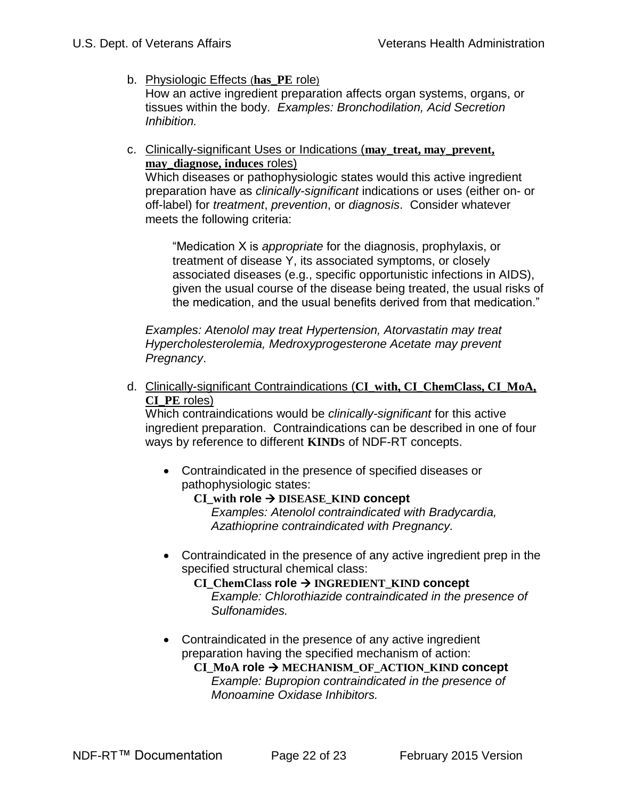- b. Physiologic Effects (**has\_PE** role) How an active ingredient preparation affects organ systems, organs, or tissues within the body. *Examples: Bronchodilation, Acid Secretion Inhibition.*
- c. Clinically-significant Uses or Indications (**may\_treat, may\_prevent, may\_diagnose, induces** roles)

Which diseases or pathophysiologic states would this active ingredient preparation have as *clinically-significant* indications or uses (either on- or off-label) for *treatment*, *prevention*, or *diagnosis*. Consider whatever meets the following criteria:

"Medication X is *appropriate* for the diagnosis, prophylaxis, or treatment of disease Y, its associated symptoms, or closely associated diseases (e.g., specific opportunistic infections in AIDS), given the usual course of the disease being treated, the usual risks of the medication, and the usual benefits derived from that medication."

*Examples: Atenolol may treat Hypertension, Atorvastatin may treat Hypercholesterolemia, Medroxyprogesterone Acetate may prevent Pregnancy*.

d. Clinically-significant Contraindications (**CI\_with, CI\_ChemClass, CI\_MoA, CI\_PE** roles)

Which contraindications would be *clinically-significant* for this active ingredient preparation. Contraindications can be described in one of four ways by reference to different **KIND**s of NDF-RT concepts.

- Contraindicated in the presence of specified diseases or pathophysiologic states:
	- **CI\_with role DISEASE\_KIND concept** *Examples: Atenolol contraindicated with Bradycardia,*

*Azathioprine contraindicated with Pregnancy.*

 Contraindicated in the presence of any active ingredient prep in the specified structural chemical class:

 **CI\_ChemClass role INGREDIENT\_KIND concept** *Example: Chlorothiazide contraindicated in the presence of Sulfonamides.*

• Contraindicated in the presence of any active ingredient preparation having the specified mechanism of action:

 **CI\_MoA role MECHANISM\_OF\_ACTION\_KIND concept** *Example: Bupropion contraindicated in the presence of Monoamine Oxidase Inhibitors.*